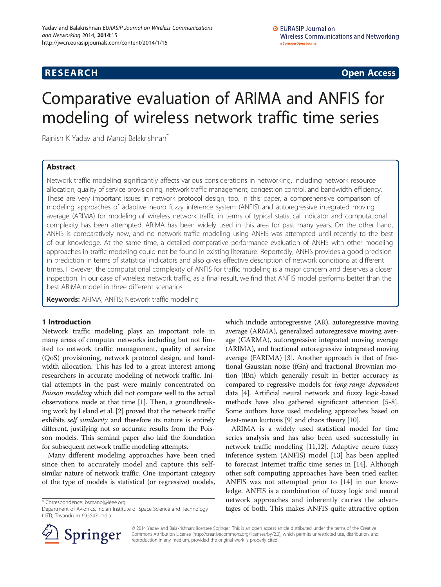## **RESEARCH CHINESE ARCH CHINESE ARCH CHINESE ARCH <b>CHINESE ARCH**

# Comparative evaluation of ARIMA and ANFIS for modeling of wireless network traffic time series

Rajnish K Yadav and Manoj Balakrishnan<sup>\*</sup>

## Abstract

Network traffic modeling significantly affects various considerations in networking, including network resource allocation, quality of service provisioning, network traffic management, congestion control, and bandwidth efficiency. These are very important issues in network protocol design, too. In this paper, a comprehensive comparison of modeling approaches of adaptive neuro fuzzy inference system (ANFIS) and autoregressive integrated moving average (ARIMA) for modeling of wireless network traffic in terms of typical statistical indicator and computational complexity has been attempted. ARIMA has been widely used in this area for past many years. On the other hand, ANFIS is comparatively new, and no network traffic modeling using ANFIS was attempted until recently to the best of our knowledge. At the same time, a detailed comparative performance evaluation of ANFIS with other modeling approaches in traffic modeling could not be found in existing literature. Reportedly, ANFIS provides a good precision in prediction in terms of statistical indicators and also gives effective description of network conditions at different times. However, the computational complexity of ANFIS for traffic modeling is a major concern and deserves a closer inspection. In our case of wireless network traffic, as a final result, we find that ANFIS model performs better than the best ARIMA model in three different scenarios.

Keywords: ARIMA; ANFIS; Network traffic modeling

## 1 Introduction

Network traffic modeling plays an important role in many areas of computer networks including but not limited to network traffic management, quality of service (QoS) provisioning, network protocol design, and bandwidth allocation. This has led to a great interest among researchers in accurate modeling of network traffic. Initial attempts in the past were mainly concentrated on Poisson modeling which did not compare well to the actual observations made at that time [\[1\]](#page-6-0). Then, a groundbreaking work by Leland et al. [\[2\]](#page-6-0) proved that the network traffic exhibits *self similarity* and therefore its nature is entirely different, justifying not so accurate results from the Poisson models. This seminal paper also laid the foundation for subsequent network traffic modeling attempts.

Many different modeling approaches have been tried since then to accurately model and capture this selfsimilar nature of network traffic. One important category of the type of models is statistical (or regressive) models,

\* Correspondence: [bsmanoj@ieee.org](mailto:bsmanoj@ieee.org)

Department of Avionics, Indian Institute of Space Science and Technology (IIST), Trivandrum 695547, India

which include autoregressive (AR), autoregressive moving average (ARMA), generalized autoregressive moving average (GARMA), autoregressive integrated moving average (ARIMA), and fractional autoregressive integrated moving average (FARIMA) [[3\]](#page-6-0). Another approach is that of fractional Gaussian noise (fGn) and fractional Brownian motion (fBn) which generally result in better accuracy as compared to regressive models for long-range dependent data [\[4\]](#page-6-0). Artificial neural network and fuzzy logic-based methods have also gathered significant attention [\[5](#page-6-0)-[8](#page-6-0)]. Some authors have used modeling approaches based on least-mean kurtosis [[9\]](#page-6-0) and chaos theory [\[10\]](#page-6-0).

ARIMA is a widely used statistical model for time series analysis and has also been used successfully in network traffic modeling [[11,12](#page-6-0)]. Adaptive neuro fuzzy inference system (ANFIS) model [\[13\]](#page-6-0) has been applied to forecast Internet traffic time series in [\[14\]](#page-6-0). Although other soft computing approaches have been tried earlier, ANFIS was not attempted prior to [\[14](#page-6-0)] in our knowledge. ANFIS is a combination of fuzzy logic and neural network approaches and inherently carries the advantages of both. This makes ANFIS quite attractive option



© 2014 Yadav and Balakrishnan; licensee Springer. This is an open access article distributed under the terms of the Creative Commons Attribution License (<http://creativecommons.org/licenses/by/2.0>), which permits unrestricted use, distribution, and reproduction in any medium, provided the original work is properly cited.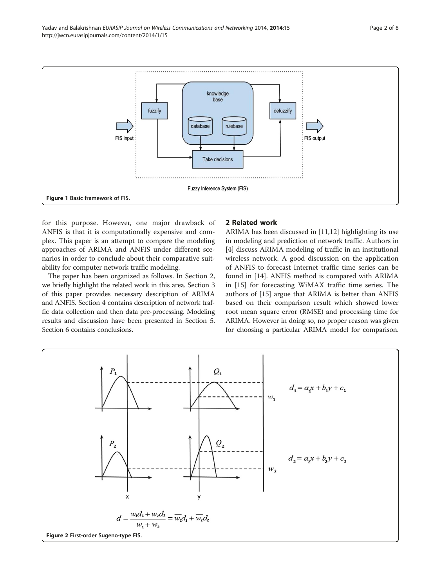<span id="page-1-0"></span>

for this purpose. However, one major drawback of ANFIS is that it is computationally expensive and complex. This paper is an attempt to compare the modeling approaches of ARIMA and ANFIS under different scenarios in order to conclude about their comparative suitability for computer network traffic modeling.

The paper has been organized as follows. In Section 2, we briefly highlight the related work in this area. Section [3](#page-2-0) of this paper provides necessary description of ARIMA and ANFIS. Section [4](#page-4-0) contains description of network traffic data collection and then data pre-processing. Modeling results and discussion have been presented in Section [5](#page-5-0). Section [6](#page-6-0) contains conclusions.

## 2 Related work

ARIMA has been discussed in [\[11,12](#page-6-0)] highlighting its use in modeling and prediction of network traffic. Authors in [[4\]](#page-6-0) discuss ARIMA modeling of traffic in an institutional wireless network. A good discussion on the application of ANFIS to forecast Internet traffic time series can be found in [[14](#page-6-0)]. ANFIS method is compared with ARIMA in [\[15](#page-6-0)] for forecasting WiMAX traffic time series. The authors of [[15](#page-6-0)] argue that ARIMA is better than ANFIS based on their comparison result which showed lower root mean square error (RMSE) and processing time for ARIMA. However in doing so, no proper reason was given for choosing a particular ARIMA model for comparison.

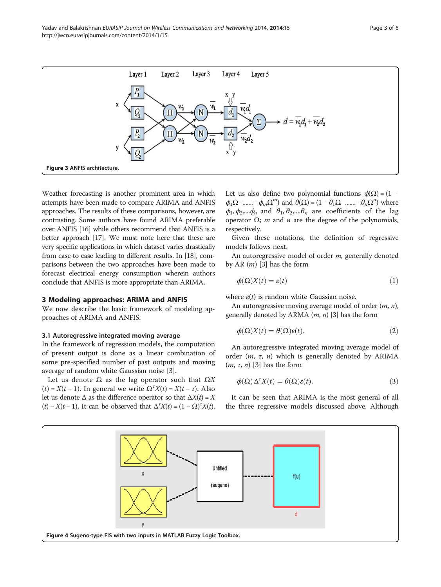<span id="page-2-0"></span>

Weather forecasting is another prominent area in which attempts have been made to compare ARIMA and ANFIS approaches. The results of these comparisons, however, are contrasting. Some authors have found ARIMA preferable over ANFIS [\[16\]](#page-6-0) while others recommend that ANFIS is a better approach [\[17\]](#page-7-0). We must note here that these are very specific applications in which dataset varies drastically from case to case leading to different results. In [\[18\]](#page-7-0), comparisons between the two approaches have been made to forecast electrical energy consumption wherein authors conclude that ANFIS is more appropriate than ARIMA.

## 3 Modeling approaches: ARIMA and ANFIS

We now describe the basic framework of modeling approaches of ARIMA and ANFIS.

#### 3.1 Autoregressive integrated moving average

In the framework of regression models, the computation of present output is done as a linear combination of some pre-specified number of past outputs and moving average of random white Gaussian noise [\[3](#page-6-0)].

Let us denote  $\Omega$  as the lag operator such that  $\Omega X$ (*t*) =  $X(t - 1)$ . In general we write  $\Omega^T X(t) = X(t - \tau)$ . Also let us denote  $\Delta$  as the difference operator so that  $\Delta X(t) = X$ (t) –  $X(t-1)$ . It can be observed that  $\Delta^T X(t) = (1 - \Omega)^T X(t)$ .

Let us also define two polynomial functions  $\phi(\Omega) = (1 \phi_1\Omega$ -.......-  $\phi_m\Omega^m$ ) and  $\theta(\Omega) = (1 - \theta_1\Omega$ -.......-  $\theta_n\Omega^n$ ) where  $\phi_1$ ,  $\phi_2$ ,  $\phi_n$  and  $\theta_1$ ,  $\theta_2$ ,  $\theta_n$  are coefficients of the lag operator  $Ω$ ; *m* and *n* are the degree of the polynomials, respectively.

Given these notations, the definition of regressive models follows next.

An autoregressive model of order *m*, generally denoted by AR  $(m)$  [[3](#page-6-0)] has the form

$$
\phi(\Omega)X(t) = \varepsilon(t) \tag{1}
$$

where  $\varepsilon(t)$  is random white Gaussian noise.

An autoregressive moving average model of order  $(m, n)$ , generally denoted by ARMA  $(m, n)$  [[3](#page-6-0)] has the form

$$
\phi(\Omega)X(t) = \theta(\Omega)\varepsilon(t). \tag{2}
$$

An autoregressive integrated moving average model of order  $(m, \tau, n)$  which is generally denoted by ARIMA  $(m, \tau, n)$  [[3\]](#page-6-0) has the form

$$
\phi(\Omega)\Delta^r X(t) = \theta(\Omega)\varepsilon(t). \tag{3}
$$

It can be seen that ARIMA is the most general of all the three regressive models discussed above. Although

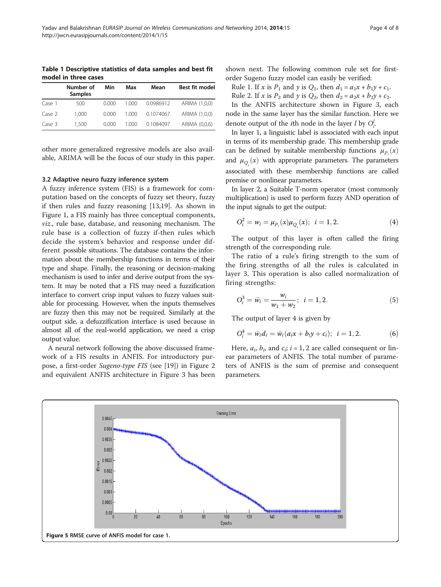<span id="page-3-0"></span>Table 1 Descriptive statistics of data samples and best fit model in three cases

|        | Number of<br><b>Samples</b> | Min   | Max   | Mean      | Best fit model |
|--------|-----------------------------|-------|-------|-----------|----------------|
| Case 1 | 500                         | 0.000 | 1.000 | 0.0986912 | ARIMA (1,0,0)  |
| Case 2 | 1.000                       | 0.000 | 1.000 | 0.1074067 | ARIMA (1,0,0)  |
| Case 3 | 1.500                       | 0.000 | 1.000 | 0.1084097 | ARIMA (0,0,6)  |

other more generalized regressive models are also available, ARIMA will be the focus of our study in this paper.

#### 3.2 Adaptive neuro fuzzy inference system

A fuzzy inference system (FIS) is a framework for computation based on the concepts of fuzzy set theory, fuzzy if then rules and fuzzy reasoning [\[13](#page-6-0)[,19\]](#page-7-0). As shown in Figure [1](#page-1-0), a FIS mainly has three conceptual components, viz., rule base, database, and reasoning mechanism. The rule base is a collection of fuzzy if-then rules which decide the system's behavior and response under different possible situations. The database contains the information about the membership functions in terms of their type and shape. Finally, the reasoning or decision-making mechanism is used to infer and derive output from the system. It may be noted that a FIS may need a fuzzification interface to convert crisp input values to fuzzy values suitable for processing. However, when the inputs themselves are fuzzy then this may not be required. Similarly at the output side, a defuzzification interface is used because in almost all of the real-world application, we need a crisp output value.

A neural network following the above discussed framework of a FIS results in ANFIS. For introductory purpose, a first-order Sugeno-type FIS (see [\[19\]](#page-7-0)) in Figure [2](#page-1-0) and equivalent ANFIS architecture in Figure [3](#page-2-0) has been

shown next. The following common rule set for firstorder Sugeno fuzzy model can easily be verified:

Rule 1. If x is  $P_1$  and y is  $Q_1$ , then  $d_1 = a_1x + b_1y + c_1$ .

Rule 2. If x is  $P_2$  and y is  $Q_2$ , then  $d_2 = a_2x + b_2y + c_2$ .

In the ANFIS architecture shown in Figure [3,](#page-2-0) each node in the same layer has the similar function. Here we denote output of the *i*th node in the layer *l* by  $O_i^l$ .

In layer 1, a linguistic label is associated with each input in terms of its membership grade. This membership grade can be defined by suitable membership functions  $\mu_{P_i}(x)$ and  $\mu_{Q_i}(x)$  with appropriate parameters. The parameters associated with these membership functions are called premise or nonlinear parameters.

In layer 2, a Suitable T-norm operator (most commonly multiplication) is used to perform fuzzy AND operation of the input signals to get the output:

$$
O_i^2 = w_i = \mu_{P_i}(x)\mu_{Q_i}(x); \quad i = 1, 2. \tag{4}
$$

The output of this layer is often called the firing strength of the corresponding rule.

The ratio of a rule's firing strength to the sum of the firing strengths of all the rules is calculated in layer 3. This operation is also called normalization of firing strengths:

$$
O_i^3 = \bar{w}_i = \frac{w_i}{w_1 + w_2}; \ \ i = 1, 2. \tag{5}
$$

The output of layer 4 is given by

$$
O_i^4 = \bar{w}_i d_i = \bar{w}_i (a_i x + b_i y + c_i); \quad i = 1, 2. \tag{6}
$$

Here,  $a_i$ ,  $b_i$ , and  $c_i$ ;  $i = 1, 2$  are called consequent or linear parameters of ANFIS. The total number of parameters of ANFIS is the sum of premise and consequent parameters.

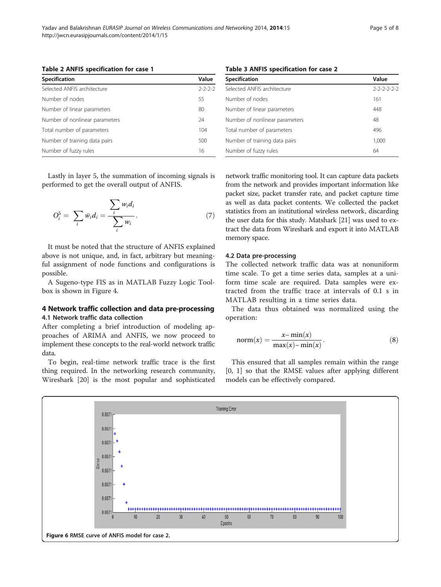<span id="page-4-0"></span>

| Specification                  | Value           |
|--------------------------------|-----------------|
| Selected ANFIS architecture    | $2 - 2 - 2 - 2$ |
| Number of nodes                | 55              |
| Number of linear parameters    | 80              |
| Number of nonlinear parameters | 24              |
| Total number of parameters     | 104             |
| Number of training data pairs  | 500             |
| Number of fuzzy rules          | 16              |

Lastly in layer 5, the summation of incoming signals is performed to get the overall output of ANFIS.

$$
O_i^5 = \sum_i \bar{w}_i d_i = \frac{\sum_i w_i d_i}{\sum_i w_i}.
$$
 (7)

It must be noted that the structure of ANFIS explained above is not unique, and, in fact, arbitrary but meaningful assignment of node functions and configurations is possible.

A Sugeno-type FIS as in MATLAB Fuzzy Logic Toolbox is shown in Figure [4.](#page-2-0)

## 4 Network traffic collection and data pre-processing 4.1 Network traffic data collection

After completing a brief introduction of modeling approaches of ARIMA and ANFIS, we now proceed to implement these concepts to the real-world network traffic data.

To begin, real-time network traffic trace is the first thing required. In the networking research community, Wireshark [[20](#page-7-0)] is the most popular and sophisticated

Table 3 ANFIS specification for case 2

| Specification                  | Value               |
|--------------------------------|---------------------|
| Selected ANFIS architecture    | $2 - 2 - 2 - 2 - 2$ |
| Number of nodes                | 161                 |
| Number of linear parameters    | 448                 |
| Number of nonlinear parameters | 48                  |
| Total number of parameters     | 496                 |
| Number of training data pairs  | 1,000               |
| Number of fuzzy rules          | 64                  |

network traffic monitoring tool. It can capture data packets from the network and provides important information like packet size, packet transfer rate, and packet capture time as well as data packet contents. We collected the packet statistics from an institutional wireless network, discarding the user data for this study. Matshark [[21](#page-7-0)] was used to extract the data from Wireshark and export it into MATLAB memory space.

## 4.2 Data pre-processing

The collected network traffic data was at nonuniform time scale. To get a time series data, samples at a uniform time scale are required. Data samples were extracted from the traffic trace at intervals of 0.1 s in MATLAB resulting in a time series data.

The data thus obtained was normalized using the operation:

$$
norm(x) = \frac{x - min(x)}{max(x) - min(x)}.
$$
\n(8)

This ensured that all samples remain within the range [0, 1] so that the RMSE values after applying different models can be effectively compared.

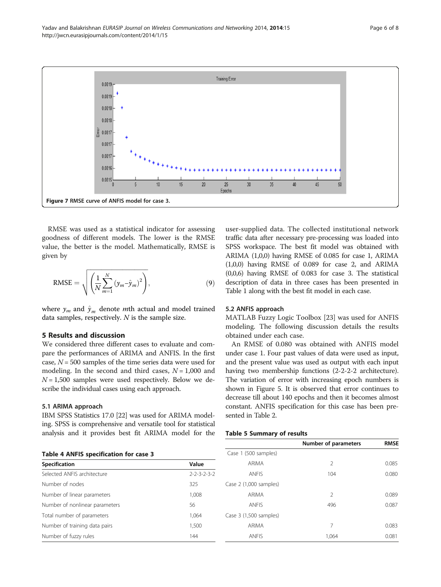<span id="page-5-0"></span>

RMSE was used as a statistical indicator for assessing goodness of different models. The lower is the RMSE value, the better is the model. Mathematically, RMSE is given by

RMSE = 
$$
\sqrt{\left(\frac{1}{N}\sum_{m=1}^{N} (y_m - \hat{y}_m)^2\right)}
$$
, (9)

where  $y_m$  and  $\hat{y}_m$  denote mth actual and model trained data samples, respectively. N is the sample size.

## 5 Results and discussion

We considered three different cases to evaluate and compare the performances of ARIMA and ANFIS. In the first case,  $N = 500$  samples of the time series data were used for modeling. In the second and third cases,  $N = 1,000$  and  $N = 1,500$  samples were used respectively. Below we describe the individual cases using each approach.

## 5.1 ARIMA approach

IBM SPSS Statistics 17.0 [[22](#page-7-0)] was used for ARIMA modeling. SPSS is comprehensive and versatile tool for statistical analysis and it provides best fit ARIMA model for the

Specification **Value** Selected ANFIS architecture 2-2-3-2-3-2 Number of nodes 325 Number of linear parameters 1,008 Number of nonlinear parameters 56 Total number of parameters 1,064 Number of training data pairs 1,500 Number of fuzzy rules 144

user-supplied data. The collected institutional network traffic data after necessary pre-processing was loaded into SPSS workspace. The best fit model was obtained with ARIMA (1,0,0) having RMSE of 0.085 for case 1, ARIMA (1,0,0) having RMSE of 0.089 for case 2, and ARIMA (0,0,6) having RMSE of 0.083 for case 3. The statistical description of data in three cases has been presented in Table [1](#page-3-0) along with the best fit model in each case.

### 5.2 ANFIS approach

MATLAB Fuzzy Logic Toolbox [\[23](#page-7-0)] was used for ANFIS modeling. The following discussion details the results obtained under each case.

An RMSE of 0.080 was obtained with ANFIS model under case 1. Four past values of data were used as input, and the present value was used as output with each input having two membership functions (2-2-2-2 architecture). The variation of error with increasing epoch numbers is shown in Figure [5.](#page-3-0) It is observed that error continues to decrease till about 140 epochs and then it becomes almost constant. ANFIS specification for this case has been presented in Table [2.](#page-4-0)

#### Table 5 Summary of results

|                        | Number of parameters | <b>RMSE</b> |
|------------------------|----------------------|-------------|
| Case 1 (500 samples)   |                      |             |
| ARIMA                  | $\mathcal{P}$        | 0.085       |
| <b>ANFIS</b>           | 104                  | 0.080       |
| Case 2 (1,000 samples) |                      |             |
| <b>ARIMA</b>           | $\mathcal{P}$        | 0.089       |
| <b>ANFIS</b>           | 496                  | 0.087       |
| Case 3 (1,500 samples) |                      |             |
| <b>ARIMA</b>           | 7                    | 0.083       |
| <b>ANFIS</b>           | 1,064                | 0.081       |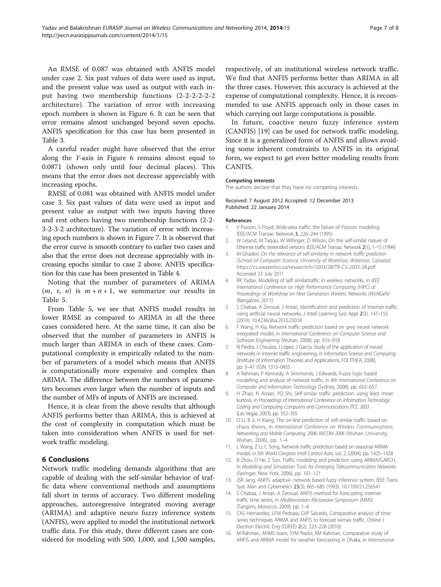<span id="page-6-0"></span>An RMSE of 0.087 was obtained with ANFIS model under case 2. Six past values of data were used as input, and the present value was used as output with each input having two membership functions (2-2-2-2-2-2 architecture). The variation of error with increasing epoch numbers is shown in Figure [6](#page-4-0). It can be seen that error remains almost unchanged beyond seven epochs. ANFIS specification for this case has been presented in Table [3](#page-4-0).

A careful reader might have observed that the error along the Y-axis in Figure [6](#page-4-0) remains almost equal to 0.0871 (shown only until four decimal places). This means that the error does not decrease appreciably with increasing epochs.

RMSE of 0.081 was obtained with ANFIS model under case 3. Six past values of data were used as input and present value as output with two inputs having three and rest others having two membership functions (2-2- 3-2-3-2 architecture). The variation of error with increasing epoch numbers is shown in Figure [7.](#page-5-0) It is observed that the error curve is smooth contrary to earlier two cases and also that the error does not decrease appreciably with increasing epochs similar to case 2 above. ANFIS specification for this case has been presented in Table [4](#page-5-0).

Noting that the number of parameters of ARIMA  $(m, \tau, n)$  is  $m+n+1$ , we summarize our results in Table [5](#page-5-0).

From Table [5](#page-5-0), we see that ANFIS model results in lower RMSE as compared to ARIMA in all the three cases considered here. At the same time, it can also be observed that the number of parameters in ANFIS is much larger than ARIMA in each of these cases. Computational complexity is empirically related to the number of parameters of a model which means that ANFIS is computationally more expensive and complex than ARIMA. The difference between the numbers of parameters becomes even larger when the number of inputs and the number of MFs of inputs of ANFIS are increased.

Hence, it is clear from the above results that although ANFIS performs better than ARIMA, this is achieved at the cost of complexity in computation which must be taken into consideration when ANFIS is used for network traffic modeling.

## 6 Conclusions

Network traffic modeling demands algorithms that are capable of dealing with the self-similar behavior of traffic data where conventional methods and assumptions fall short in terms of accuracy. Two different modeling approaches, autoregressive integrated moving average (ARIMA) and adaptive neuro fuzzy inference system (ANFIS), were applied to model the institutional network traffic data. For this study, three different cases are considered for modeling with 500, 1,000, and 1,500 samples, respectively, of an institutional wireless network traffic. We find that ANFIS performs better than ARIMA in all the three cases. However, this accuracy is achieved at the expense of computational complexity. Hence, it is recommended to use ANFIS approach only in those cases in which carrying out large computations is possible.

In future, coactive neuro fuzzy inference system (CANFIS) [[19\]](#page-7-0) can be used for network traffic modeling. Since it is a generalized form of ANFIS and allows avoiding some inherent constraints to ANFIS in its original form, we expect to get even better modeling results from CANFIS.

#### Competing interests

The authors declare that they have no competing interests.

Received: 7 August 2012 Accepted: 12 December 2013 Published: 22 January 2014

#### References

- 1. V Paxson, S Floyd, Wide-area traffic: the failure of Poisson modeling. IEEE/ACM Transac Network 3, 226–244 (1995)
- 2. W Leland, M Taqqu, W Willinger, D Wilson, On the self-similar nature of Ethernet traffic (extended version). IEEE/ACM Transac Network 2(1), 1–15 (1994)
- 3. M Ghaderi, On the relevance of self-similarity in network traffic prediction (School of Computer Science, University of Waterloo, Waterloo, Canada). <https://cs.uwaterloo.ca/research/tr/2003/28/TR-CS-2003-28.pdf>. Accessed 23 July 2011
- 4. RK Yadav, Modeling of self similartraffic in wireless networks, in IEEE International Conference on High Performance Computing (HiPC) at Proceedings of Workshop on Next Generation Wireless Networks (WoNGeN) (Bangalore, 2011)
- 5. S Chabaa, A Zeroual, J Antari, Identification and prediction of internet traffic using artificial neural networks. J Intell Learning Syst Appl 2(3), 147–155 (2010). 10.4236/jilsa.2010.23018
- 6. F Wang, H Xia, Network traffic prediction based on grey neural network integrated model, in International Conference on Computer Science and Software Engineering (Wuhan, 2008), pp. 915–918
- 7. N Piedra, J Chicaiza, J López, J García, Study of the application of neural networks in internet traffic engineering, in Information Science and Computing (Institute of Information Theories and Applications, FOI ITHEA, 2008), pp. 3–47. ISSN: 1313–0455
- 8. A Rahman, P Kennedy, A Simmonds, J Edwards, Fuzzy logic based modelling and analysis of network traffic, in 8th International Conference on Computer and Information Technology (Sydney, 2008), pp. 652–657
- 9. H Zhao, N Ansari, YQ Shi, Self-similar traffic prediction using least mean kurtosis, in Proceedings of International Conference on Information Technology: Coding and Computing Computers and Communications ITCC 2003 (Las Vegas, 2003), pp. 352–355
- 10. D Li, B Ji, H Xiang, The on-line prediction of self-similar traffic based on chaos theory, in International Conference on Wireless Communications, Networking and Mobile Computing, 2006. WiCOM 2006 (Wuhan University, Wuhan, 2006), pp. 1–4
- 11. L Wang, Z Li, C Song, Network traffic prediction based on seasonal ARIMA model, in 5th World Congress Intell Control Auto, vol. 2, (2004), pp. 1425–1428
- 12. B Zhou, D He, Z Sun, Traffic modeling and prediction using ARIMA/GARCH, in Modelling and Simulation Tools for Emerging Telecommunication Networks (Springer, New York, 2006), pp. 101–121
- 13. JSR Jang, ANFIS: adaptive- network based fuzzy inference system. IEEE Trans. Syst. Man and Cybernetics 23(3), 665–685 (1993). 10.1109/21.256541
- 14. S Chabaa, J Antari, A Zeroual, ANFIS method for forecasting Internet traffic time series, in Mediterranean Microwave Symposium (MMS) (Tangiers, Morocco, 2009), pp. 1–4
- 15. CAS Hernandez, LFM Pedraza, OJP Salcedo, Comparative analysis of time series techniques ARIMA and ANFIS to forecast wimax traffic. Online J Electron Electric Eng (OJEEE) 2(2), 223–228 (2010)
- 16. M Rahman, AHMS Islam, SYM Nadvi, RM Rahman, Comparative study of ANFIS and ARIMA model for weather forecasting in Dhaka, in International